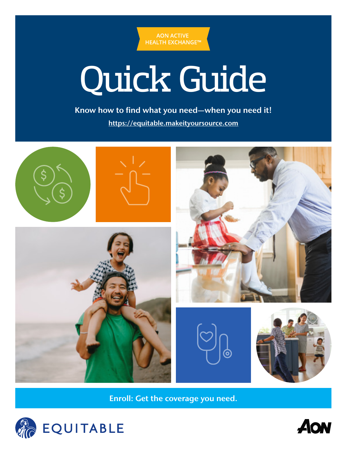

# Quick Guide

Know how to find what you need—when you need it! <https://equitable.makeityoursource.com>



Enroll: Get the coverage you need.



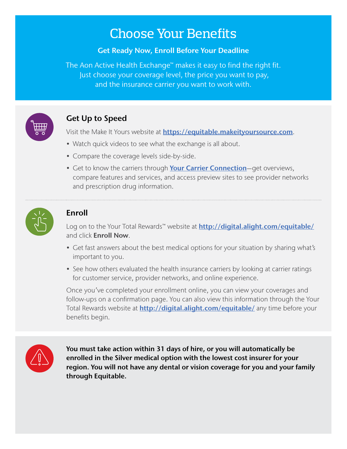# Choose Your Benefits

#### Get Ready Now, Enroll Before Your Deadline

The Aon Active Health Exchange™ makes it easy to find the right fit. Just choose your coverage level, the price you want to pay, and the insurance carrier you want to work with.



## Get Up to Speed

Visit the Make It Yours website at **[https://equitable.makeityoursource.com](https://equitable.makeityoursource.com/)**.

- Watch quick videos to see what the exchange is all about.
- Compare the coverage levels side-by-side.
- Get to know the carriers through [Your Carrier Connection](https://equitable.makeityoursource.com/your-carrier-connection)-get overviews, compare features and services, and access preview sites to see provider networks and prescription drug information.



## Enroll

Log on to the Your Total Rewards™ website at **[http://digital.alight.com/equitable/](https://leplb0480.upoint.alight.com/web/equitable/login?forkPage=false#/routing)** and click **Enroll Now**.

- Get fast answers about the best medical options for your situation by sharing what's important to you.
- See how others evaluated the health insurance carriers by looking at carrier ratings for customer service, provider networks, and online experience.

Once you've completed your enrollment online, you can view your coverages and follow-ups on a confirmation page. You can also view this information through the Your Total Rewards website at **[http://digital.alight.com/equitable/](https://leplb0480.upoint.alight.com/web/equitable/login?forkPage=false#/routing)** any time before your benefits begin.



You must take action within 31 days of hire, or you will automatically be enrolled in the Silver medical option with the lowest cost insurer for your region. You will not have any dental or vision coverage for you and your family through Equitable.